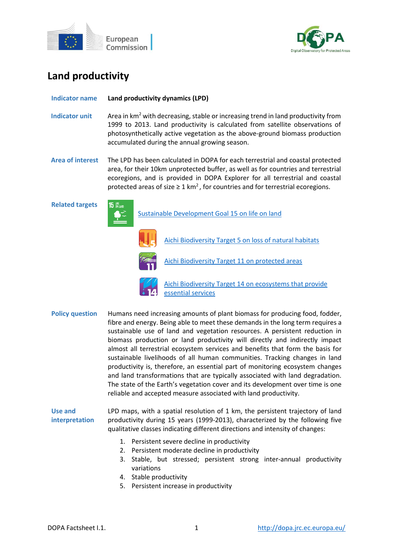



# **Land productivity**

**Indicator name Land productivity dynamics (LPD)**

- **Indicator unit** Area in km<sup>2</sup> with decreasing, stable or increasing trend in land productivity from 1999 to 2013. Land productivity is calculated from satellite observations of photosynthetically active vegetation as the above-ground biomass production accumulated during the annual growing season.
- **Area of interest** The LPD has been calculated in DOPA for each terrestrial and coastal protected area, for their 10km unprotected buffer, as well as for countries and terrestrial ecoregions, and is provided in DOPA Explorer for all terrestrial and coastal protected areas of size  $\geq 1$  km<sup>2</sup>, for countries and for terrestrial ecoregions.

**Related targets**



[Sustainable Development Goal 15 on life on land](https://sdgs.un.org/goals/goal15)



[Aichi Biodiversity Target 5 on loss of natural habitats](https://www.cbd.int/sp/targets/rationale/target-5/)



Aichi Biodiversity Target 11 on protected areas



[Aichi Biodiversity Target 14 on ecosystems that provide](http://www.cbd.int/sp/targets/rationale/target-11/)  [essential services](http://www.cbd.int/sp/targets/rationale/target-11/)

**Policy question** Humans need increasing amounts of plant biomass for producing food, fodder, fibre and energy. Being able to meet these demands in the long term requires a sustainable use of land and vegetation resources. A persistent reduction in biomass production or land productivity will directly and indirectly impact almost all terrestrial ecosystem services and benefits that form the basis for sustainable livelihoods of all human communities. Tracking changes in land productivity is, therefore, an essential part of monitoring ecosystem changes and land transformations that are typically associated with land degradation. The state of the Earth's vegetation cover and its development over time is one reliable and accepted measure associated with land productivity.

**Use and interpretation** LPD maps, with a spatial resolution of 1 km, the persistent trajectory of land productivity during 15 years (1999-2013), characterized by the following five qualitative classes indicating different directions and intensity of changes:

- 1. Persistent severe decline in productivity
- 2. Persistent moderate decline in productivity
- 3. Stable, but stressed; persistent strong inter-annual productivity variations
- 4. Stable productivity
- 5. Persistent increase in productivity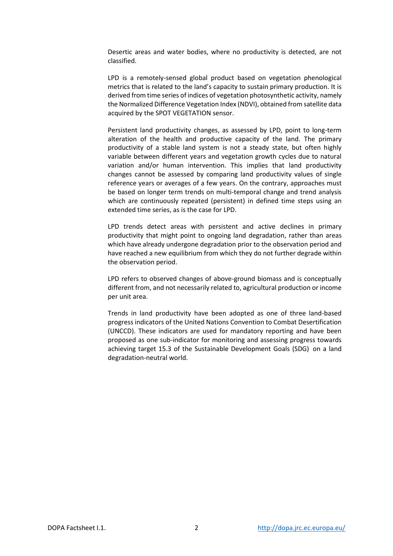Desertic areas and water bodies, where no productivity is detected, are not classified.

LPD is a remotely-sensed global product based on vegetation phenological metrics that is related to the land's capacity to sustain primary production. It is derived from time series of indices of vegetation photosynthetic activity, namely the Normalized Difference Vegetation Index (NDVI), obtained from satellite data acquired by the SPOT VEGETATION sensor.

Persistent land productivity changes, as assessed by LPD, point to long-term alteration of the health and productive capacity of the land. The primary productivity of a stable land system is not a steady state, but often highly variable between different years and vegetation growth cycles due to natural variation and/or human intervention. This implies that land productivity changes cannot be assessed by comparing land productivity values of single reference years or averages of a few years. On the contrary, approaches must be based on longer term trends on multi-temporal change and trend analysis which are continuously repeated (persistent) in defined time steps using an extended time series, as is the case for LPD.

LPD trends detect areas with persistent and active declines in primary productivity that might point to ongoing land degradation, rather than areas which have already undergone degradation prior to the observation period and have reached a new equilibrium from which they do not further degrade within the observation period.

LPD refers to observed changes of above-ground biomass and is conceptually different from, and not necessarily related to, agricultural production or income per unit area.

Trends in land productivity have been adopted as one of three land-based progress indicators of the United Nations Convention to Combat Desertification (UNCCD). These indicators are used for mandatory reporting and have been proposed as one sub-indicator for monitoring and assessing progress towards achieving target 15.3 of the Sustainable Development Goals (SDG) on a land degradation-neutral world.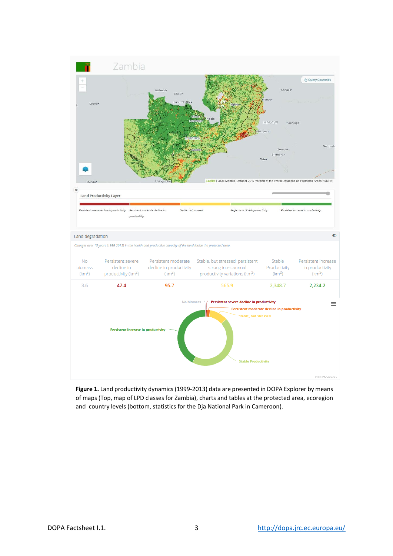

**Figure 1.** Land productivity dynamics (1999-2013) data are presented in DOPA Explorer by means of maps (Top, map of LPD classes for Zambia), charts and tables at the protected area, ecoregion and country levels (bottom, statistics for the Dja National Park in Cameroon).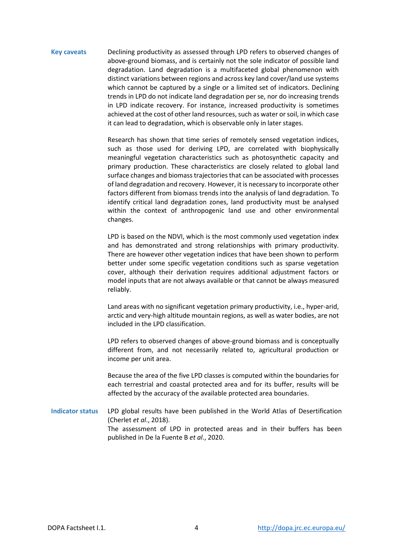**Key caveats** Declining productivity as assessed through LPD refers to observed changes of above-ground biomass, and is certainly not the sole indicator of possible land degradation. Land degradation is a multifaceted global phenomenon with distinct variations between regions and across key land cover/land use systems which cannot be captured by a single or a limited set of indicators. Declining trends in LPD do not indicate land degradation per se, nor do increasing trends in LPD indicate recovery. For instance, increased productivity is sometimes achieved at the cost of other land resources, such as water or soil, in which case it can lead to degradation, which is observable only in later stages.

> Research has shown that time series of remotely sensed vegetation indices, such as those used for deriving LPD, are correlated with biophysically meaningful vegetation characteristics such as photosynthetic capacity and primary production. These characteristics are closely related to global land surface changes and biomass trajectories that can be associated with processes of land degradation and recovery. However, it is necessary to incorporate other factors different from biomass trends into the analysis of land degradation. To identify critical land degradation zones, land productivity must be analysed within the context of anthropogenic land use and other environmental changes.

> LPD is based on the NDVI, which is the most commonly used vegetation index and has demonstrated and strong relationships with primary productivity. There are however other vegetation indices that have been shown to perform better under some specific vegetation conditions such as sparse vegetation cover, although their derivation requires additional adjustment factors or model inputs that are not always available or that cannot be always measured reliably.

> Land areas with no significant vegetation primary productivity, i.e., hyper-arid, arctic and very-high altitude mountain regions, as well as water bodies, are not included in the LPD classification.

> LPD refers to observed changes of above-ground biomass and is conceptually different from, and not necessarily related to, agricultural production or income per unit area.

> Because the area of the five LPD classes is computed within the boundaries for each terrestrial and coastal protected area and for its buffer, results will be affected by the accuracy of the available protected area boundaries.

**Indicator status** LPD global results have been published in the World Atlas of Desertification (Cherlet *et al*., 2018). The assessment of LPD in protected areas and in their buffers has been published in De la Fuente B *et al*., 2020.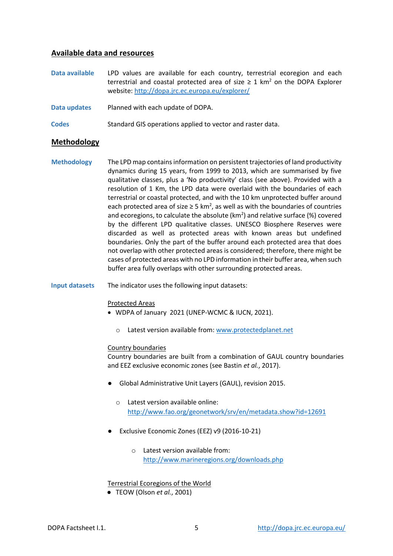## **Available data and resources**

**Data available** LPD values are available for each country, terrestrial ecoregion and each terrestrial and coastal protected area of size  $\geq 1$  km<sup>2</sup> on the DOPA Explorer website[: http://dopa.jrc.ec.europa.eu/explorer/](http://dopa.jrc.ec.europa.eu/explorer/)

**Data updates** Planned with each update of DOPA.

**Codes** Standard GIS operations applied to vector and raster data.

# **Methodology**

**Methodology** The LPD map containsinformation on persistent trajectories of land productivity dynamics during 15 years, from 1999 to 2013, which are summarised by five qualitative classes, plus a 'No productivity' class (see above). Provided with a resolution of 1 Km, the LPD data were overlaid with the boundaries of each terrestrial or coastal protected, and with the 10 km unprotected buffer around each protected area of size  $\geq 5$  km<sup>2</sup>, as well as with the boundaries of countries and ecoregions, to calculate the absolute ( $km<sup>2</sup>$ ) and relative surface (%) covered by the different LPD qualitative classes. UNESCO Biosphere Reserves were discarded as well as protected areas with known areas but undefined boundaries. Only the part of the buffer around each protected area that does not overlap with other protected areas is considered; therefore, there might be cases of protected areas with no LPD information in their buffer area, when such buffer area fully overlaps with other surrounding protected areas.

**Input datasets** The indicator uses the following input datasets:

#### Protected Areas

- WDPA of January 2021 (UNEP-WCMC & IUCN, 2021).
	- o Latest version available from[: www.protectedplanet.net](http://www.protectedplanet.net/)

#### Country boundaries

Country boundaries are built from a combination of GAUL country boundaries and EEZ exclusive economic zones (see Bastin *et al.*, 2017).

- Global Administrative Unit Layers (GAUL), revision 2015.
	- o Latest version available online: <http://www.fao.org/geonetwork/srv/en/metadata.show?id=12691>
- Exclusive Economic Zones (EEZ) v9 (2016-10-21)
	- o Latest version available from: <http://www.marineregions.org/downloads.php>

Terrestrial Ecoregions of the World

● TEOW (Olson *et al.*, 2001)